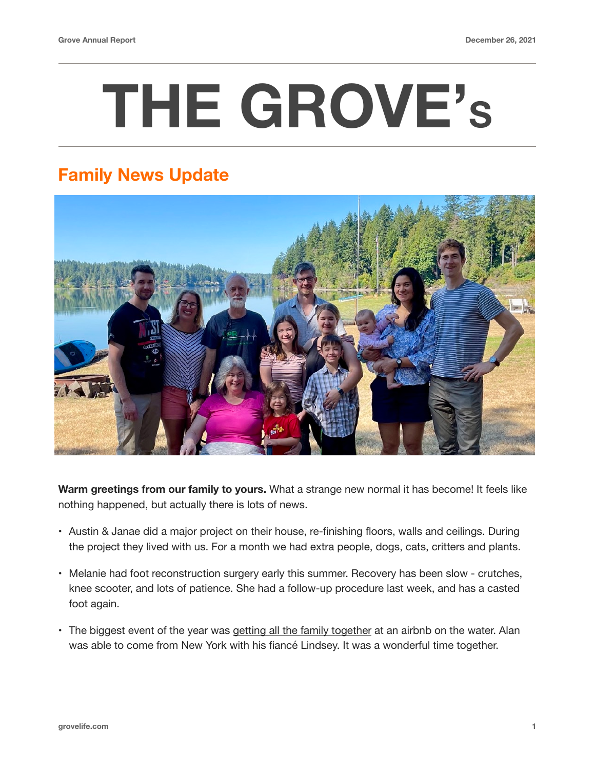## **THE GROVE'S**

## **Family News Update**



**Warm greetings from our family to yours.** What a strange new normal it has become! It feels like nothing happened, but actually there is lots of news.

- Austin & Janae did a major project on their house, re-finishing floors, walls and ceilings. During the project they lived with us. For a month we had extra people, dogs, cats, critters and plants.
- Melanie had foot reconstruction surgery early this summer. Recovery has been slow crutches, knee scooter, and lots of patience. She had a follow-up procedure last week, and has a casted foot again.
- The biggest event of the year was [getting all the family together](http://www.grovelife.com/pages/20210906_familyVacation.html) at an airbnb on the water. Alan was able to come from New York with his fiancé Lindsey. It was a wonderful time together.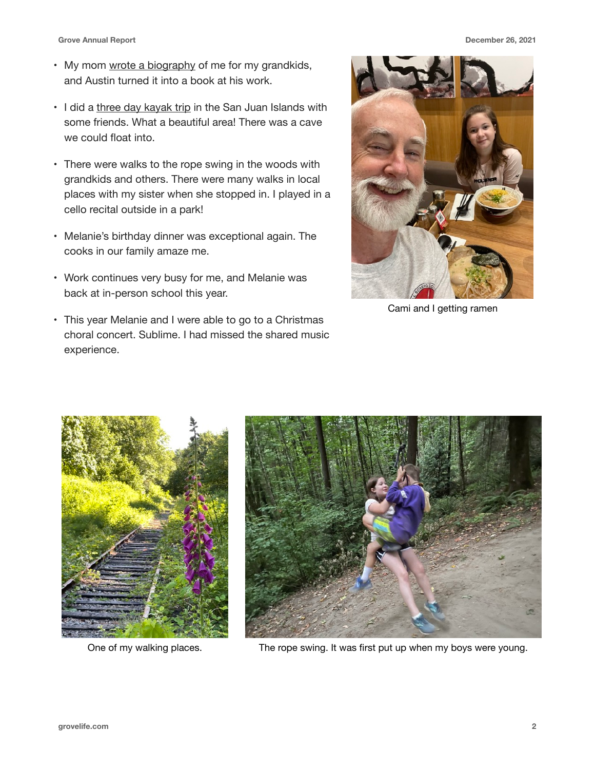- My mom [wrote a biography](http://www.grovelife.com/pages/20210401_aStoryOfLarry.html) of me for my grandkids, and Austin turned it into a book at his work.
- I did a [three day kayak trip](http://www.grovelife.com/pages/20211103_SanJuanKayakTrip.html) in the San Juan Islands with some friends. What a beautiful area! There was a cave we could float into.
- There were walks to the rope swing in the woods with grandkids and others. There were many walks in local places with my sister when she stopped in. I played in a cello recital outside in a park!
- Melanie's birthday dinner was exceptional again. The cooks in our family amaze me.
- Work continues very busy for me, and Melanie was back at in-person school this year.
- This year Melanie and I were able to go to a Christmas choral concert. Sublime. I had missed the shared music experience.



Cami and I getting ramen





One of my walking places. The rope swing. It was first put up when my boys were young.